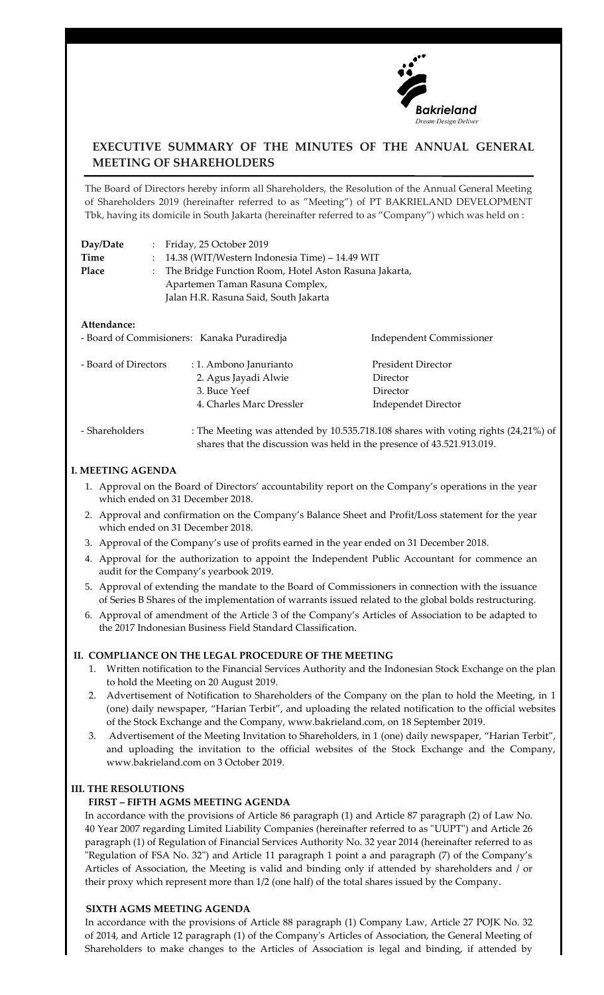

# **EXECUTIVE SUMMARY OF THE MINUTES OF THE ANNUAL GENERAL MEETING OF SHAREHOLDERS**

The Board of Directors hereby inform all Shareholders, the Resolution of the Annual General Meeting of Shareholders 2019 (hereinafter referred to as "Meeting") of PT BAKRIELAND DEVELOPMENT Tbk, having its domicile in South Jakarta (hereinafter referred to as "Company") which was held on :

| Day/Date<br>Time<br>Place                                  | $\ddot{\cdot}$<br>$\ddot{\cdot}$ | : Friday, 25 October 2019<br>14.38 (WIT/Western Indonesia Time) – 14.49 WIT<br>The Bridge Function Room, Hotel Aston Rasuna Jakarta,<br>Apartemen Taman Rasuna Complex,<br>Jalan H.R. Rasuna Said, South Jakarta |                                                                                                                                                              |  |
|------------------------------------------------------------|----------------------------------|------------------------------------------------------------------------------------------------------------------------------------------------------------------------------------------------------------------|--------------------------------------------------------------------------------------------------------------------------------------------------------------|--|
| Attendance:<br>- Board of Commisioners: Kanaka Puradiredja |                                  |                                                                                                                                                                                                                  | <b>Independent Commissioner</b>                                                                                                                              |  |
| - Board of Directors                                       |                                  | : 1. Ambono Janurianto<br>2. Agus Jayadi Alwie<br>3. Buce Yeef<br>4. Charles Marc Dressler                                                                                                                       | <b>President Director</b><br>Director<br>Director<br><b>Independet Director</b>                                                                              |  |
| - Shareholders                                             |                                  |                                                                                                                                                                                                                  | : The Meeting was attended by 10.535.718.108 shares with voting rights (24,21%) of<br>shares that the discussion was held in the presence of 43.521.913.019. |  |

### **I. MEETING AGENDA**

- 1. Approval on the Board of Directors' accountability report on the Company's operations in the year which ended on 31 December 2018.
- 2. Approval and confirmation on the Company's Balance Sheet and Profit/Loss statement for the year which ended on 31 December 2018.
- 3. Approval of the Company's use of profits earned in the year ended on 31 December 2018.
- 4. Approval for the authorization to appoint the Independent Public Accountant for commence an audit for the Company's yearbook 2019.
- 5. Approval of extending the mandate to the Board of Commissioners in connection with the issuance of Series B Shares of the implementation of warrants issued related to the global bolds restructuring.
- 6. Approval of amendment of the Article 3 of the Company's Articles of Association to be adapted to the 2017 Indonesian Business Field Standard Classification.

### **II. COMPLIANCE ON THE LEGAL PROCEDURE OF THE MEETING**

- 1. Written notification to the Financial Services Authority and the Indonesian Stock Exchange on the plan to hold the Meeting on 20 August 2019.
- 2. Advertisement of Notification to Shareholders of the Company on the plan to hold the Meeting, in 1 (one) daily newspaper, "Harian Terbit", and uploading the related notification to the official websites of the Stock Exchange and the Company, www.bakrieland.com, on 18 September 2019.
- 3. Advertisement of the Meeting Invitation to Shareholders, in 1 (one) daily newspaper, "Harian Terbit", and uploading the invitation to the official websites of the Stock Exchange and the Company, www.bakrieland.com on 3 October 2019.

## **III. THE RESOLUTIONS**

### **FIRST – FIFTH AGMS MEETING AGENDA**

In accordance with the provisions of Article 86 paragraph (1) and Article 87 paragraph (2) of Law No. 40 Year 2007 regarding Limited Liability Companies (hereinafter referred to as "UUPT") and Article 26 paragraph (1) of Regulation of Financial Services Authority No. 32 year 2014 (hereinafter referred to as "Regulation of FSA No. 32") and Article 11 paragraph 1 point a and paragraph (7) of the Company's Articles of Association, the Meeting is valid and binding only if attended by shareholders and / or their proxy which represent more than 1/2 (one half) of the total shares issued by the Company.

### **SIXTH AGMS MEETING AGENDA**

In accordance with the provisions of Article 88 paragraph (1) Company Law, Article 27 POJK No. 32 of 2014, and Article 12 paragraph (1) of the Company's Articles of Association, the General Meeting of Shareholders to make changes to the Articles of Association is legal and binding, if attended by